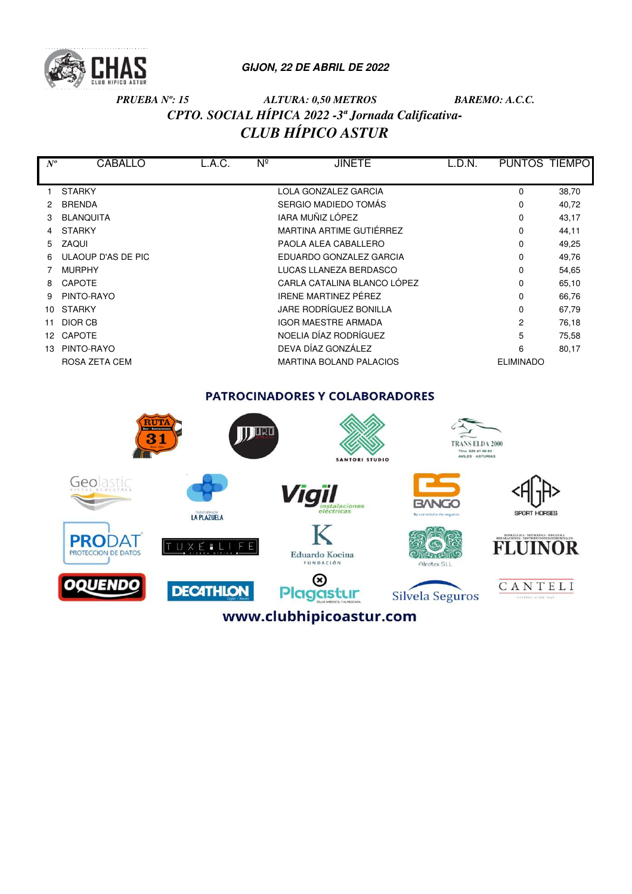

# *PRUEBA Nº: 15 ALTURA: 0,50 METROS BAREMO: A.C.C. CPTO. SOCIAL HÍPICA 2022 -3ª Jornada Calificativa-CLUB HÍPICO ASTUR*

| $N^o$       | <b>CABALLO</b>     | L.A.C. | $N^{\circ}$ | <b>JINETE</b>                  | L.D.N. | PUNTOS TIEMPO    |       |
|-------------|--------------------|--------|-------------|--------------------------------|--------|------------------|-------|
|             |                    |        |             |                                |        |                  |       |
|             | <b>STARKY</b>      |        |             | LOLA GONZALEZ GARCIA           |        | 0                | 38,70 |
|             | <b>BRENDA</b>      |        |             | SERGIO MADIEDO TOMÁS           |        | $\Omega$         | 40,72 |
|             | <b>BLANQUITA</b>   |        |             | IARA MUÑIZ LÓPEZ               |        | 0                | 43,17 |
| 4           | <b>STARKY</b>      |        |             | MARTINA ARTIME GUTIÉRREZ       |        | $\Omega$         | 44,11 |
| $5^{\circ}$ | <b>ZAQUI</b>       |        |             | PAOLA ALEA CABALLERO           |        | 0                | 49,25 |
| 6           | ULAOUP D'AS DE PIC |        |             | EDUARDO GONZALEZ GARCIA        |        | $\Omega$         | 49,76 |
|             | <b>MURPHY</b>      |        |             | LUCAS LLANEZA BERDASCO         |        | 0                | 54,65 |
| 8           | <b>CAPOTE</b>      |        |             | CARLA CATALINA BLANCO LÓPEZ    |        | $\Omega$         | 65,10 |
| 9           | PINTO-RAYO         |        |             | <b>IRENE MARTINEZ PÉREZ</b>    |        | 0                | 66,76 |
| 10          | <b>STARKY</b>      |        |             | JARE RODRÍGUEZ BONILLA         |        | $\Omega$         | 67,79 |
| 11          | DIOR CB            |        |             | <b>IGOR MAESTRE ARMADA</b>     |        | 2                | 76,18 |
| 12          | <b>CAPOTE</b>      |        |             | NOELIA DÍAZ RODRÍGUEZ          |        | 5                | 75,58 |
| 13          | PINTO-RAYO         |        |             | DEVA DÍAZ GONZÁLEZ             |        | 6                | 80,17 |
|             | ROSA ZETA CEM      |        |             | <b>MARTINA BOLAND PALACIOS</b> |        | <b>ELIMINADO</b> |       |

# PATROCINADORES Y COLABORADORES

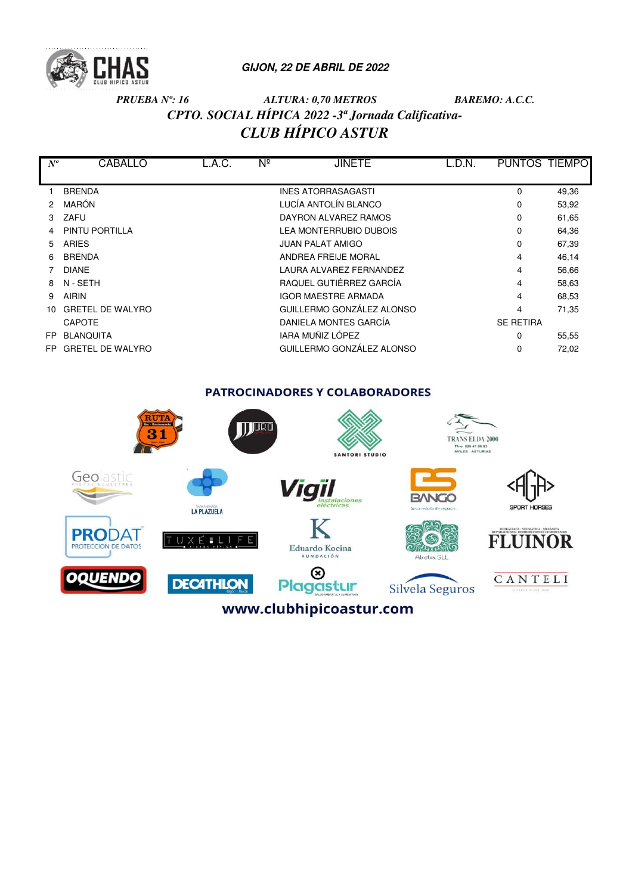

# *PRUEBA Nº: 16 ALTURA: 0,70 METROS BAREMO: A.C.C. CPTO. SOCIAL HÍPICA 2022 -3ª Jornada Calificativa-CLUB HÍPICO ASTUR*

| $N^o$ | <b>CABALLO</b>          | L.A.C. | $N^{\circ}$ | <b>JINETE</b>                 | L.D.N. | PUNTOS TIEMPO    |       |
|-------|-------------------------|--------|-------------|-------------------------------|--------|------------------|-------|
|       |                         |        |             |                               |        |                  |       |
|       | <b>BRENDA</b>           |        |             | <b>INES ATORRASAGASTI</b>     |        | 0                | 49,36 |
| 2     | MARÓN                   |        |             | LUCÍA ANTOLÍN BLANCO          |        | 0                | 53,92 |
| 3     | ZAFU                    |        |             | DAYRON ALVAREZ RAMOS          |        | 0                | 61,65 |
| 4     | PINTU PORTILLA          |        |             | <b>LEA MONTERRUBIO DUBOIS</b> |        | 0                | 64,36 |
| 5     | <b>ARIES</b>            |        |             | <b>JUAN PALAT AMIGO</b>       |        | 0                | 67,39 |
| 6     | <b>BRENDA</b>           |        |             | ANDREA FREIJE MORAL           |        | 4                | 46,14 |
|       | <b>DIANE</b>            |        |             | LAURA ALVAREZ FERNANDEZ       |        | 4                | 56,66 |
| 8     | N - SETH                |        |             | RAQUEL GUTIÉRREZ GARCÍA       |        | 4                | 58,63 |
| 9     | <b>AIRIN</b>            |        |             | <b>IGOR MAESTRE ARMADA</b>    |        | 4                | 68,53 |
| 10.   | <b>GRETEL DE WALYRO</b> |        |             | GUILLERMO GONZÁLEZ ALONSO     |        | 4                | 71,35 |
|       | <b>CAPOTE</b>           |        |             | DANIELA MONTES GARCÍA         |        | <b>SE RETIRA</b> |       |
| FP.   | <b>BLANQUITA</b>        |        |             | IARA MUÑIZ LÓPEZ              |        | 0                | 55,55 |
| FP.   | <b>GRETEL DE WALYRO</b> |        |             | GUILLERMO GONZÁLEZ ALONSO     |        |                  | 72,02 |

**PATROCINADORES Y COLABORADORES** 

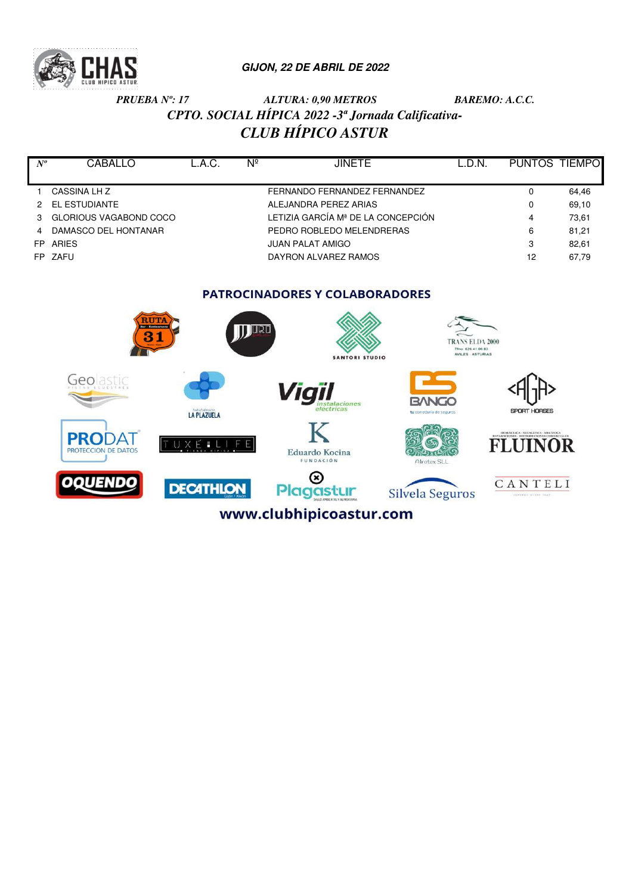

# *PRUEBA Nº: 17 ALTURA: 0,90 METROS BAREMO: A.C.C. CPTO. SOCIAL HÍPICA 2022 -3ª Jornada Calificativa-CLUB HÍPICO ASTUR*

| $N^o$ | CABALLO                  | L.A.C. | Nº | <b>JINETE</b>                      | L.D.N. | PUNTOS TIEMPO |       |
|-------|--------------------------|--------|----|------------------------------------|--------|---------------|-------|
|       |                          |        |    |                                    |        |               |       |
|       | CASSINA LH Z             |        |    | FERNANDO FERNANDEZ FERNANDEZ       |        | 0             | 64,46 |
|       | 2 EL ESTUDIANTE          |        |    | ALEJANDRA PEREZ ARIAS              |        | 0             | 69,10 |
|       | 3 GLORIOUS VAGABOND COCO |        |    | LETIZIA GARCÍA Mª DE LA CONCEPCIÓN |        |               | 73,61 |
| 4     | DAMASCO DEL HONTANAR     |        |    | PEDRO ROBLEDO MELENDRERAS          |        | 6             | 81,21 |
|       | FP ARIES                 |        |    | <b>JUAN PALAT AMIGO</b>            |        | 3             | 82,61 |
|       | FP ZAFU                  |        |    | DAYRON ALVAREZ RAMOS               |        | 12            | 67,79 |
|       |                          |        |    |                                    |        |               |       |

## PATROCINADORES Y COLABORADORES

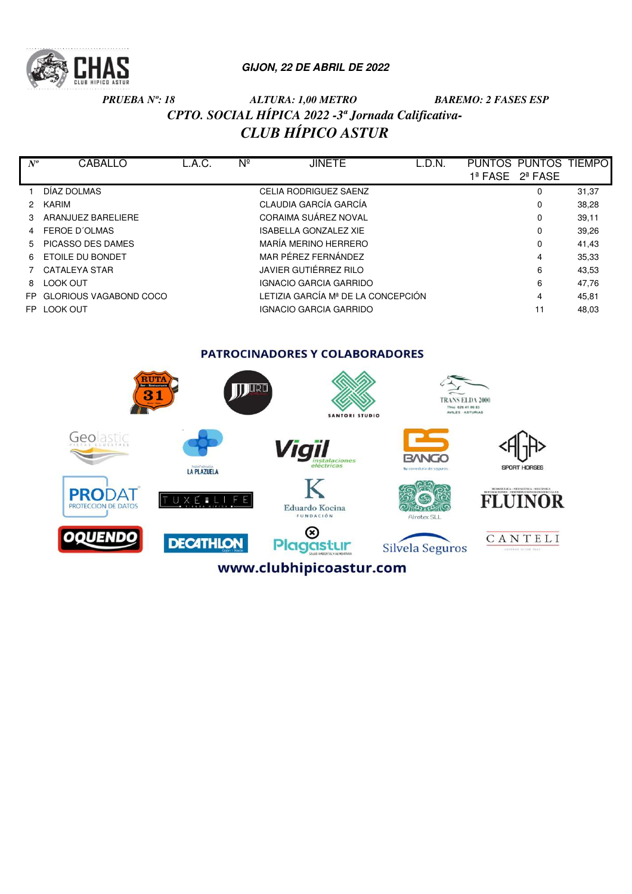

# *PRUEBA Nº: 18 ALTURA: 1,00 METRO BAREMO: 2 FASES ESP CPTO. SOCIAL HÍPICA 2022 -3ª Jornada Calificativa-CLUB HÍPICO ASTUR*

| $N^o$         | <b>CABALLO</b>                | L.A.C. | Νº | <b>JINETE</b>                      | L.D.N. | PUNTOS PUNTOS TIEMPO |       |
|---------------|-------------------------------|--------|----|------------------------------------|--------|----------------------|-------|
|               |                               |        |    |                                    |        | 1ª FASE 2ª FASE      |       |
|               | DÍAZ DOLMAS                   |        |    | <b>CELIA RODRIGUEZ SAENZ</b>       |        | $\Omega$             | 31,37 |
| $\mathcal{P}$ | KARIM                         |        |    | CLAUDIA GARCÍA GARCÍA              |        | 0                    | 38,28 |
| 3             | ARANJUEZ BARELIERE            |        |    | CORAIMA SUÁREZ NOVAL               |        | 0                    | 39,11 |
| 4             | FEROE D'OLMAS                 |        |    | <b>ISABELLA GONZALEZ XIE</b>       |        | 0                    | 39,26 |
| 5             | PICASSO DES DAMES             |        |    | MARÍA MERINO HERRERO               |        | 0                    | 41,43 |
| 6             | ETOILE DU BONDET              |        |    | MAR PÉREZ FERNÁNDEZ                |        | 4                    | 35,33 |
|               | CATALEYA STAR                 |        |    | JAVIER GUTIÉRREZ RILO              |        | 6                    | 43,53 |
| 8             | <b>LOOK OUT</b>               |        |    | <b>IGNACIO GARCIA GARRIDO</b>      |        | 6                    | 47,76 |
| FP.           | <b>GLORIOUS VAGABOND COCO</b> |        |    | LETIZIA GARCÍA Mª DE LA CONCEPCIÓN |        | 4                    | 45,81 |
| FP.           | LOOK OUT                      |        |    | <b>IGNACIO GARCIA GARRIDO</b>      |        | 11                   | 48,03 |
|               |                               |        |    |                                    |        |                      |       |

PATROCINADORES Y COLABORADORES

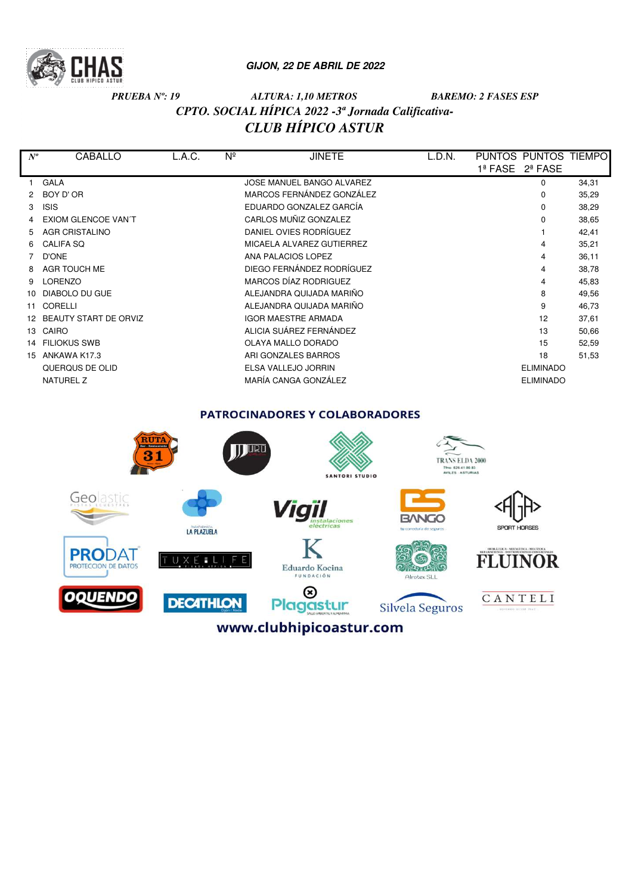

# *PRUEBA Nº: 19 ALTURA: 1,10 METROS BAREMO: 2 FASES ESP CPTO. SOCIAL HÍPICA 2022 -3ª Jornada Calificativa-CLUB HÍPICO ASTUR*

| $N^o$        | CABALLO                    | L.A.C. | $N^{\circ}$ | <b>JINETE</b>              | L.D.N. | <b>PUNTOS</b><br><b>PUNTOS</b>      | TIEMPO |
|--------------|----------------------------|--------|-------------|----------------------------|--------|-------------------------------------|--------|
|              |                            |        |             |                            |        | 1ª FASE<br>$2^{\underline{a}}$ FASE |        |
|              | <b>GALA</b>                |        |             | JOSE MANUEL BANGO ALVAREZ  |        | 0                                   | 34,31  |
|              | BOY D' OR                  |        |             | MARCOS FERNÁNDEZ GONZÁLEZ  |        | 0                                   | 35,29  |
| 3            | <b>ISIS</b>                |        |             | EDUARDO GONZALEZ GARCÍA    |        | 0                                   | 38,29  |
|              | <b>EXIOM GLENCOE VAN'T</b> |        |             | CARLOS MUÑIZ GONZALEZ      |        | 0                                   | 38,65  |
| 5.           | <b>AGR CRISTALINO</b>      |        |             | DANIEL OVIES RODRÍGUEZ     |        |                                     | 42,41  |
| 6            | <b>CALIFA SQ</b>           |        |             | MICAELA ALVAREZ GUTIERREZ  |        | 4                                   | 35,21  |
|              | <b>D'ONE</b>               |        |             | ANA PALACIOS LOPEZ         |        | 4                                   | 36,11  |
| 8            | AGR TOUCH ME               |        |             | DIEGO FERNÁNDEZ RODRÍGUEZ  |        | 4                                   | 38,78  |
| 9            | LORENZO                    |        |             | MARCOS DÍAZ RODRIGUEZ      |        | 4                                   | 45,83  |
| 10           | DIABOLO DU GUE             |        |             | ALEJANDRA QUIJADA MARIÑO   |        | 8                                   | 49,56  |
| 11           | CORELLI                    |        |             | ALEJANDRA QUIJADA MARIÑO   |        | 9                                   | 46,73  |
| 12           | BEAUTY START DE ORVIZ      |        |             | <b>IGOR MAESTRE ARMADA</b> |        | 12                                  | 37,61  |
| 13           | CAIRO                      |        |             | ALICIA SUÁREZ FERNÁNDEZ    |        | 13                                  | 50,66  |
| 14           | <b>FILIOKUS SWB</b>        |        |             | OLAYA MALLO DORADO         |        | 15                                  | 52,59  |
| $15^{\circ}$ | ANKAWA K17.3               |        |             | ARI GONZALES BARROS        |        | 18                                  | 51,53  |
|              | QUERQUS DE OLID            |        |             | ELSA VALLEJO JORRIN        |        | <b>ELIMINADO</b>                    |        |
|              | <b>NATUREL Z</b>           |        |             | MARÍA CANGA GONZÁLEZ       |        | <b>ELIMINADO</b>                    |        |
|              |                            |        |             |                            |        |                                     |        |

PATROCINADORES Y COLABORADORES

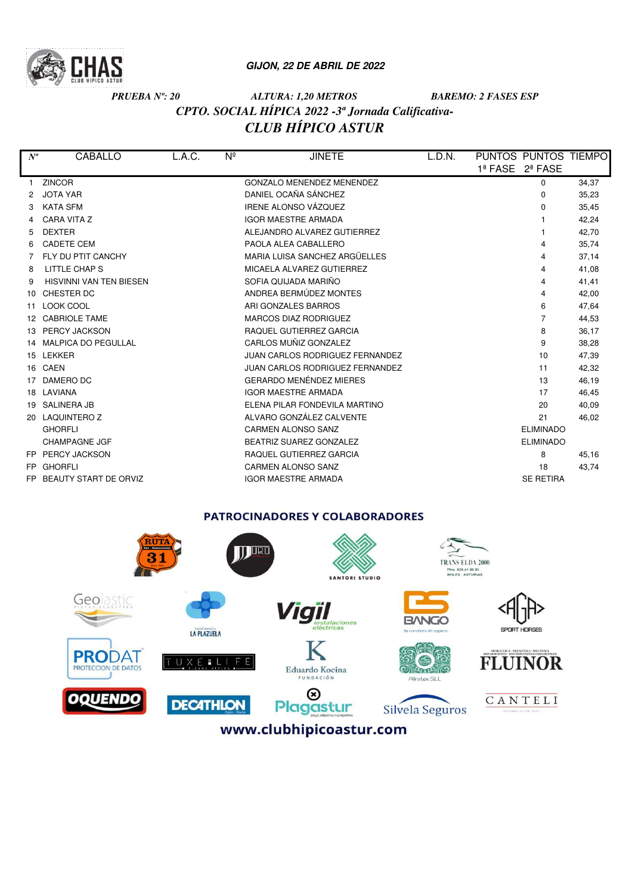

# *PRUEBA Nº: 20 ALTURA: 1,20 METROS BAREMO: 2 FASES ESP CPTO. SOCIAL HÍPICA 2022 -3ª Jornada Calificativa-CLUB HÍPICO ASTUR*

| $N^o$    | CABALLO                        | L.A.C. | $N^{\circ}$ | <b>JINETE</b>                    | L.D.N. | PUNTOS PUNTOS TIEMPO |                  |       |
|----------|--------------------------------|--------|-------------|----------------------------------|--------|----------------------|------------------|-------|
|          |                                |        |             |                                  |        | 1ª FASE              | 2ª FASE          |       |
|          | <b>ZINCOR</b>                  |        |             | <b>GONZALO MENENDEZ MENENDEZ</b> |        |                      | 0                | 34,37 |
| 2        | <b>JOTA YAR</b>                |        |             | DANIEL OCAÑA SÁNCHEZ             |        |                      | 0                | 35,23 |
| 3        | <b>KATA SFM</b>                |        |             | <b>IRENE ALONSO VÁZOUEZ</b>      |        |                      | 0                | 35,45 |
|          | <b>CARA VITA Z</b>             |        |             | <b>IGOR MAESTRE ARMADA</b>       |        |                      |                  | 42,24 |
| 5        | <b>DEXTER</b>                  |        |             | ALEJANDRO ALVAREZ GUTIERREZ      |        |                      |                  | 42,70 |
| 6        | <b>CADETE CEM</b>              |        |             | PAOLA ALEA CABALLERO             |        |                      |                  | 35,74 |
|          | FLY DU PTIT CANCHY             |        |             | MARIA LUISA SANCHEZ ARGÜELLES    |        |                      |                  | 37,14 |
| 8        | LITTLE CHAP S                  |        |             | MICAELA ALVAREZ GUTIERREZ        |        |                      | 4                | 41,08 |
| 9        | <b>HISVINNI VAN TEN BIESEN</b> |        |             | SOFIA QUIJADA MARIÑO             |        |                      |                  | 41,41 |
| $10^{-}$ | CHESTER DC                     |        |             | ANDREA BERMÚDEZ MONTES           |        |                      | 4                | 42,00 |
| 11       | LOOK COOL                      |        |             | ARI GONZALES BARROS              |        |                      | 6                | 47,64 |
| 12       | <b>CABRIOLE TAME</b>           |        |             | <b>MARCOS DIAZ RODRIGUEZ</b>     |        |                      |                  | 44,53 |
| 13       | <b>PERCY JACKSON</b>           |        |             | RAQUEL GUTIERREZ GARCIA          |        |                      | 8                | 36,17 |
| 14       | <b>MALPICA DO PEGULLAL</b>     |        |             | CARLOS MUÑIZ GONZALEZ            |        |                      | 9                | 38,28 |
|          | 15 LEKKER                      |        |             | JUAN CARLOS RODRIGUEZ FERNANDEZ  |        |                      | 10               | 47,39 |
|          | 16 CAEN                        |        |             | JUAN CARLOS RODRIGUEZ FERNANDEZ  |        |                      | 11               | 42,32 |
| 17       | DAMERO DC                      |        |             | <b>GERARDO MENÉNDEZ MIERES</b>   |        |                      | 13               | 46,19 |
|          | 18 LAVIANA                     |        |             | <b>IGOR MAESTRE ARMADA</b>       |        |                      | 17               | 46,45 |
| 19       | <b>SALINERA JB</b>             |        |             | ELENA PILAR FONDEVILA MARTINO    |        |                      | 20               | 40,09 |
| 20       | <b>LAQUINTERO Z</b>            |        |             | ALVARO GONZÁLEZ CALVENTE         |        |                      | 21               | 46,02 |
|          | <b>GHORFLI</b>                 |        |             | <b>CARMEN ALONSO SANZ</b>        |        |                      | <b>ELIMINADO</b> |       |
|          | <b>CHAMPAGNE JGF</b>           |        |             | BEATRIZ SUAREZ GONZALEZ          |        |                      | <b>ELIMINADO</b> |       |
|          | FP PERCY JACKSON               |        |             | RAQUEL GUTIERREZ GARCIA          |        |                      | 8                | 45,16 |
| FP.      | <b>GHORFLI</b>                 |        |             | <b>CARMEN ALONSO SANZ</b>        |        |                      | 18               | 43,74 |
| FP.      | <b>BEAUTY START DE ORVIZ</b>   |        |             | <b>IGOR MAESTRE ARMADA</b>       |        |                      | <b>SE RETIRA</b> |       |
|          |                                |        |             |                                  |        |                      |                  |       |

#### **PATROCINADORES Y COLABORADORES**